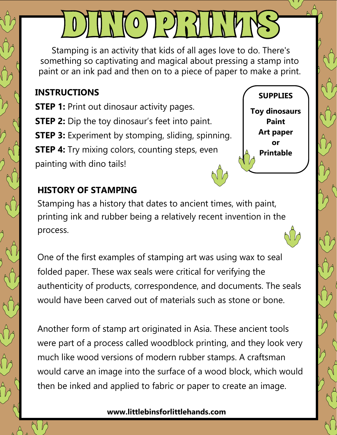Stamping is an activity that kids of all ages love to do. There's something so captivating and magical about pressing a stamp into paint or an ink pad and then on to a piece of paper to make a print.

OJUNIO PRINT

## **INSTRUCTIONS**

**STEP 1:** Print out dinosaur activity pages. **STEP 2:** Dip the toy dinosaur's feet into paint. **STEP 3:** Experiment by stomping, sliding, spinning. **STEP 4:** Try mixing colors, counting steps, even painting with dino tails!

**Toy dinosaurs Paint Art paper or Printable**

**SUPPLIES**

## **HISTORY OF STAMPING**

Stamping has a history that dates to ancient times, with paint, printing ink and rubber being a relatively recent invention in the process.

One of the first examples of stamping art was using wax to seal folded paper. These wax seals were critical for verifying the authenticity of products, correspondence, and documents. The seals would have been carved out of materials such as stone or bone.

Another form of stamp art originated in Asia. These ancient tools were part of a process called woodblock printing, and they look very much like wood versions of modern rubber stamps. A craftsman would carve an image into the surface of a wood block, which would then be inked and applied to fabric or paper to create an image.

## **www.littlebinsforlittlehands.com**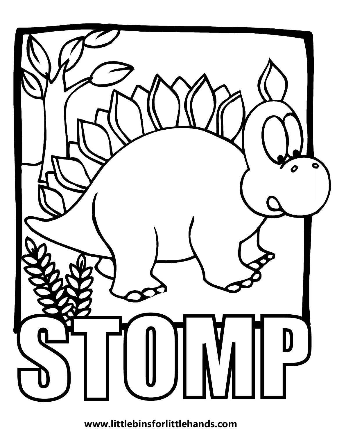

**www.littlebinsforlittlehands.com**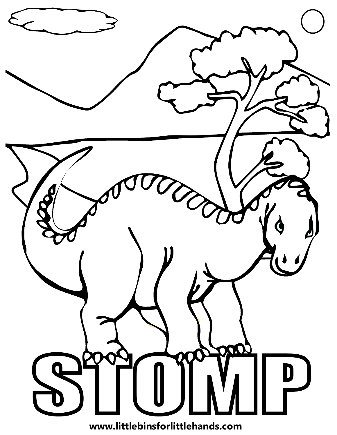